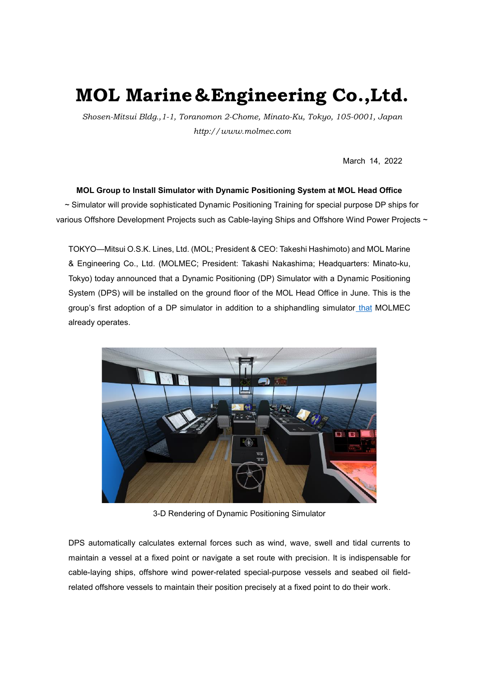## **MOL Marine**&**Engineering Co.,Ltd.**

*Shosen-Mitsui Bldg.,1-1, Toranomon 2-Chome, Minato-Ku, Tokyo, 105-0001, Japan http://www.molmec.com*

March 14, 2022

## **MOL Group to Install Simulator with Dynamic Positioning System at MOL Head Office**

~ Simulator will provide sophisticated Dynamic Positioning Training for special purpose DP ships for various Offshore Development Projects such as Cable-laying Ships and Offshore Wind Power Projects ~

TOKYO—Mitsui O.S.K. Lines, Ltd. (MOL; President & CEO: Takeshi Hashimoto) and MOL Marine & Engineering Co., Ltd. (MOLMEC; President: Takashi Nakashima; Headquarters: Minato-ku, Tokyo) today announced that a Dynamic Positioning (DP) Simulator with a Dynamic Positioning System (DPS) will be installed on the ground floor of the MOL Head Office in June. This is the group's first adoption of a DP simulator in addition to a shiphandling simulator that MOLMEC already operates.



3-D Rendering of Dynamic Positioning Simulator

DPS automatically calculates external forces such as wind, wave, swell and tidal currents to maintain a vessel at a fixed point or navigate a set route with precision. It is indispensable for cable-laying ships, offshore wind power-related special-purpose vessels and seabed oil fieldrelated offshore vessels to maintain their position precisely at a fixed point to do their work.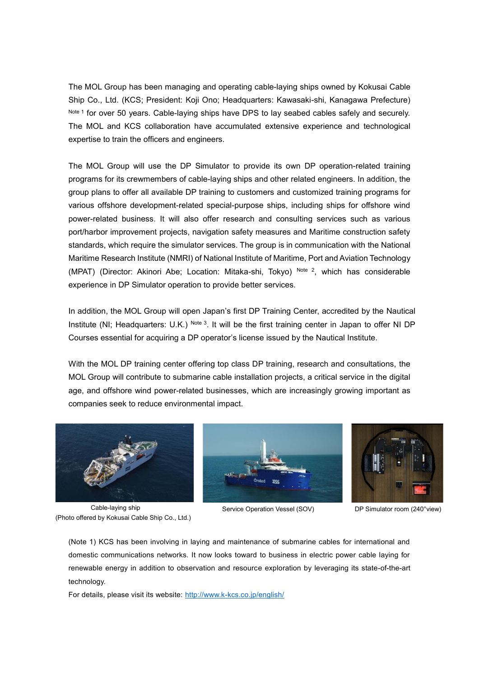The MOL Group has been managing and operating cable-laying ships owned by Kokusai Cable Ship Co., Ltd. (KCS; President: Koji Ono; Headquarters: Kawasaki-shi, Kanagawa Prefecture) Note 1 for over 50 years. Cable-laying ships have DPS to lay seabed cables safely and securely. The MOL and KCS collaboration have accumulated extensive experience and technological expertise to train the officers and engineers.

The MOL Group will use the DP Simulator to provide its own DP operation-related training programs for its crewmembers of cable-laying ships and other related engineers. In addition, the group plans to offer all available DP training to customers and customized training programs for various offshore development-related special-purpose ships, including ships for offshore wind power-related business. It will also offer research and consulting services such as various port/harbor improvement projects, navigation safety measures and Maritime construction safety standards, which require the simulator services. The group is in communication with the National Maritime Research Institute (NMRI) of National Institute of Maritime, Port and Aviation Technology (MPAT) (Director: Akinori Abe; Location: Mitaka-shi, Tokyo) Note 2, which has considerable experience in DP Simulator operation to provide better services.

In addition, the MOL Group will open Japan's first DP Training Center, accredited by the Nautical Institute (NI; Headquarters: U.K.) Note  $3$ . It will be the first training center in Japan to offer NI DP Courses essential for acquiring a DP operator's license issued by the Nautical Institute.

With the MOL DP training center offering top class DP training, research and consultations, the MOL Group will contribute to submarine cable installation projects, a critical service in the digital age, and offshore wind power-related businesses, which are increasingly growing important as companies seek to reduce environmental impact.



Cable-laying ship (Photo offered by Kokusai Cable Ship Co., Ltd.)



Service Operation Vessel (SOV) DP Simulator room (240°view)



(Note 1) KCS has been involving in laying and maintenance of submarine cables for international and domestic communications networks. It now looks toward to business in electric power cable laying for renewable energy in addition to observation and resource exploration by leveraging its state-of-the-art technology.

For details, please visit its website:<http://www.k-kcs.co.jp/english/>